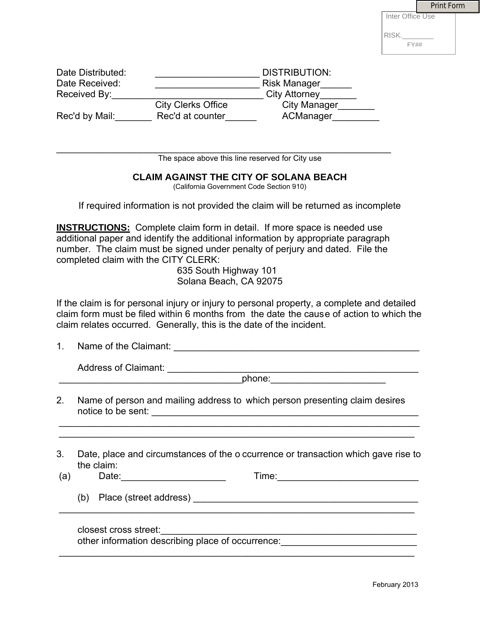|                  | <b>Print Form</b> |
|------------------|-------------------|
| Inter Office Use |                   |
| RISK.            |                   |
| <b>FY##</b>      |                   |

|                                                     |            |                                                                                                                                                                                                                                                                                                                                                  |                                                                                                                                      | RISK. |  |
|-----------------------------------------------------|------------|--------------------------------------------------------------------------------------------------------------------------------------------------------------------------------------------------------------------------------------------------------------------------------------------------------------------------------------------------|--------------------------------------------------------------------------------------------------------------------------------------|-------|--|
|                                                     |            |                                                                                                                                                                                                                                                                                                                                                  |                                                                                                                                      | FY##  |  |
| Date Distributed:<br>Date Received:<br>Received By: |            |                                                                                                                                                                                                                                                                                                                                                  | <b>DISTRIBUTION:</b><br>City Attorney<br><b>City Clerks Office</b><br>City Manager_______<br>Rec'd by Mail: Rec'd at counter Manager |       |  |
|                                                     |            | The space above this line reserved for City use                                                                                                                                                                                                                                                                                                  |                                                                                                                                      |       |  |
|                                                     |            | <b>CLAIM AGAINST THE CITY OF SOLANA BEACH</b><br>(California Government Code Section 910)                                                                                                                                                                                                                                                        |                                                                                                                                      |       |  |
|                                                     |            | If required information is not provided the claim will be returned as incomplete                                                                                                                                                                                                                                                                 |                                                                                                                                      |       |  |
|                                                     |            | <b>INSTRUCTIONS:</b> Complete claim form in detail. If more space is needed use<br>additional paper and identify the additional information by appropriate paragraph<br>number. The claim must be signed under penalty of perjury and dated. File the<br>completed claim with the CITY CLERK:<br>635 South Highway 101<br>Solana Beach, CA 92075 |                                                                                                                                      |       |  |
|                                                     |            | If the claim is for personal injury or injury to personal property, a complete and detailed                                                                                                                                                                                                                                                      |                                                                                                                                      |       |  |
|                                                     |            | claim form must be filed within 6 months from the date the cause of action to which the<br>claim relates occurred. Generally, this is the date of the incident.                                                                                                                                                                                  |                                                                                                                                      |       |  |
|                                                     |            | 1. Name of the Claimant:                                                                                                                                                                                                                                                                                                                         |                                                                                                                                      |       |  |
|                                                     |            | Address of Claimant: Note and Security and Security and Security and Security and Security and Security and Security and Security and Security and Security and Security and Security and Security and Security and Security a                                                                                                                   |                                                                                                                                      |       |  |
|                                                     |            | Name of person and mailing address to which person presenting claim desires                                                                                                                                                                                                                                                                      | phone: ____________________________                                                                                                  |       |  |
| 2.<br>3.<br>(a)                                     | the claim: | Date, place and circumstances of the o ccurrence or transaction which gave rise to                                                                                                                                                                                                                                                               |                                                                                                                                      |       |  |
|                                                     |            |                                                                                                                                                                                                                                                                                                                                                  |                                                                                                                                      |       |  |

## **CLAIM AGAINST THE CITY OF SOLANA BEACH**

- 2. Name of person and mailing address to which person presenting claim desires notice to be sent: \_\_\_\_\_\_\_\_\_\_\_\_\_\_\_\_\_\_\_\_\_\_\_\_\_\_\_\_\_\_\_\_\_\_\_\_\_\_\_\_\_\_\_\_\_\_\_\_\_\_\_
- 3. Date, place and circumstances of the o ccurrence or transaction which gave rise to the claim:<br>Date: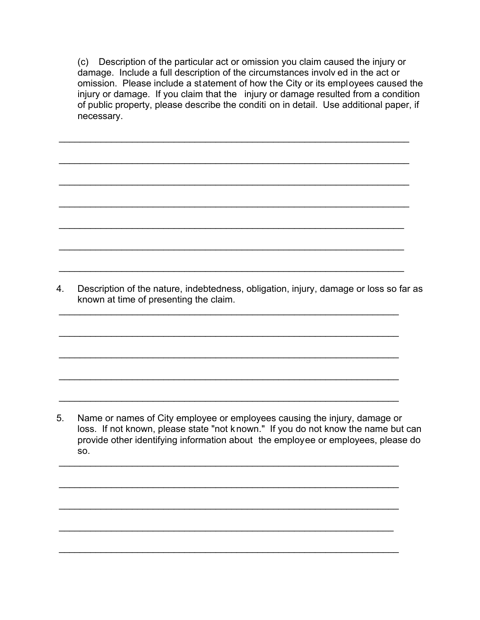(c) Description of the particular act or omission you claim caused the injury or damage. Include a full description of the circumstances involv ed in the act or omission. Please include a statement of how the City or its employees caused the injury or damage. If you claim that the injury or damage resulted from a condition of public property, please describe the conditi on in detail. Use additional paper, if necessary.

 $\overline{\phantom{a}}$  , and the contribution of the contribution of the contribution of the contribution of the contribution of the contribution of the contribution of the contribution of the contribution of the contribution of the

 $\overline{\phantom{a}}$  , and the contribution of the contribution of the contribution of the contribution of the contribution of the contribution of the contribution of the contribution of the contribution of the contribution of the

 $\overline{\phantom{a}}$  , and the contribution of the contribution of the contribution of the contribution of the contribution of the contribution of the contribution of the contribution of the contribution of the contribution of the

 $\overline{\phantom{a}}$  , and the contribution of the contribution of the contribution of the contribution of the contribution of the contribution of the contribution of the contribution of the contribution of the contribution of the

 $\overline{\phantom{a}}$  , and the contribution of the contribution of the contribution of the contribution of the contribution of the contribution of the contribution of the contribution of the contribution of the contribution of the

 $\overline{\phantom{a}}$  ,  $\overline{\phantom{a}}$  ,  $\overline{\phantom{a}}$  ,  $\overline{\phantom{a}}$  ,  $\overline{\phantom{a}}$  ,  $\overline{\phantom{a}}$  ,  $\overline{\phantom{a}}$  ,  $\overline{\phantom{a}}$  ,  $\overline{\phantom{a}}$  ,  $\overline{\phantom{a}}$  ,  $\overline{\phantom{a}}$  ,  $\overline{\phantom{a}}$  ,  $\overline{\phantom{a}}$  ,  $\overline{\phantom{a}}$  ,  $\overline{\phantom{a}}$  ,  $\overline{\phantom{a}}$ 

 $\overline{\phantom{a}}$  , and the contribution of the contribution of the contribution of the contribution of the contribution of the contribution of the contribution of the contribution of the contribution of the contribution of the

 $\overline{\phantom{a}}$  , and the contribution of the contribution of the contribution of the contribution of the contribution of the contribution of the contribution of the contribution of the contribution of the contribution of the

 $\overline{\phantom{a}}$  , and the contribution of the contribution of the contribution of the contribution of the contribution of the contribution of the contribution of the contribution of the contribution of the contribution of the

 $\overline{\phantom{a}}$  , and the contribution of the contribution of the contribution of the contribution of the contribution of the contribution of the contribution of the contribution of the contribution of the contribution of the

 $\overline{\phantom{a}}$  , and the contribution of the contribution of the contribution of the contribution of the contribution of the contribution of the contribution of the contribution of the contribution of the contribution of the

 $\overline{\phantom{a}}$  , and the contribution of the contribution of the contribution of the contribution of the contribution of the contribution of the contribution of the contribution of the contribution of the contribution of the

 $\overline{\phantom{a}}$  , and the contribution of the contribution of the contribution of the contribution of the contribution of the contribution of the contribution of the contribution of the contribution of the contribution of the

 $\overline{\phantom{a}}$  , and the contribution of the contribution of the contribution of the contribution of the contribution of the contribution of the contribution of the contribution of the contribution of the contribution of the

 $\overline{\phantom{a}}$  , and the contribution of the contribution of the contribution of the contribution of the contribution of the contribution of the contribution of the contribution of the contribution of the contribution of the

 $\overline{\phantom{a}}$  , and the contribution of the contribution of the contribution of the contribution of the contribution of the contribution of the contribution of the contribution of the contribution of the contribution of the

 $\overline{\phantom{a}}$  , and the contribution of the contribution of the contribution of the contribution of the contribution of the contribution of the contribution of the contribution of the contribution of the contribution of the

4. Description of the nature, indebtedness, obligation, injury, damage or loss so far as known at time of presenting the claim.

5. Name or names of City employee or employees causing the injury, damage or loss. If not known, please state "not known." If you do not know the name but can provide other identifying information about the employee or employees, please do so.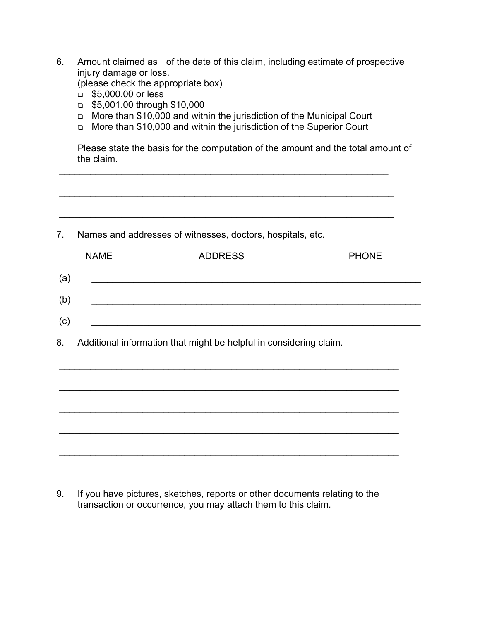| 6.  | Amount claimed as of the date of this claim, including estimate of prospective<br>injury damage or loss.<br>(please check the appropriate box)<br>\$5,000.00 or less<br>$\Box$<br>\$5,001.00 through \$10,000<br>$\Box$<br>More than \$10,000 and within the jurisdiction of the Municipal Court<br>$\Box$<br>More than \$10,000 and within the jurisdiction of the Superior Court<br>$\Box$<br>Please state the basis for the computation of the amount and the total amount of<br>the claim. |                                                                    |              |  |  |  |
|-----|------------------------------------------------------------------------------------------------------------------------------------------------------------------------------------------------------------------------------------------------------------------------------------------------------------------------------------------------------------------------------------------------------------------------------------------------------------------------------------------------|--------------------------------------------------------------------|--------------|--|--|--|
|     |                                                                                                                                                                                                                                                                                                                                                                                                                                                                                                |                                                                    |              |  |  |  |
| 7.  | Names and addresses of witnesses, doctors, hospitals, etc.                                                                                                                                                                                                                                                                                                                                                                                                                                     |                                                                    |              |  |  |  |
|     | <b>NAME</b>                                                                                                                                                                                                                                                                                                                                                                                                                                                                                    | <b>ADDRESS</b>                                                     | <b>PHONE</b> |  |  |  |
| (a) |                                                                                                                                                                                                                                                                                                                                                                                                                                                                                                |                                                                    |              |  |  |  |
| (b) |                                                                                                                                                                                                                                                                                                                                                                                                                                                                                                |                                                                    |              |  |  |  |
| (c) |                                                                                                                                                                                                                                                                                                                                                                                                                                                                                                | <u> 1980 - Johann Barbara, martxa alemaniar a</u>                  |              |  |  |  |
| 8.  |                                                                                                                                                                                                                                                                                                                                                                                                                                                                                                | Additional information that might be helpful in considering claim. |              |  |  |  |
|     |                                                                                                                                                                                                                                                                                                                                                                                                                                                                                                |                                                                    |              |  |  |  |
|     |                                                                                                                                                                                                                                                                                                                                                                                                                                                                                                |                                                                    |              |  |  |  |
|     |                                                                                                                                                                                                                                                                                                                                                                                                                                                                                                |                                                                    |              |  |  |  |
|     |                                                                                                                                                                                                                                                                                                                                                                                                                                                                                                |                                                                    |              |  |  |  |
|     |                                                                                                                                                                                                                                                                                                                                                                                                                                                                                                |                                                                    |              |  |  |  |
|     |                                                                                                                                                                                                                                                                                                                                                                                                                                                                                                |                                                                    |              |  |  |  |

9. If you have pictures, sketches, reports or other documents relating to the transaction or occurrence, you may attach them to this claim.